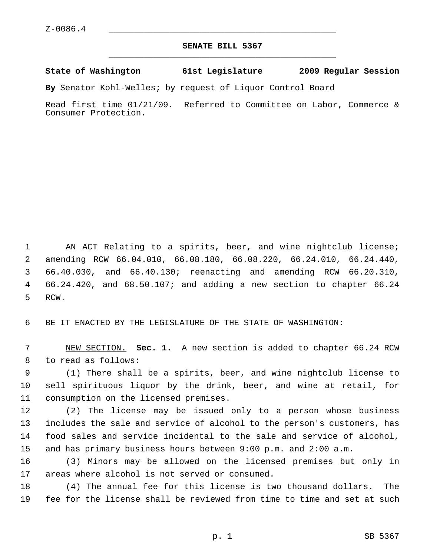## **SENATE BILL 5367** \_\_\_\_\_\_\_\_\_\_\_\_\_\_\_\_\_\_\_\_\_\_\_\_\_\_\_\_\_\_\_\_\_\_\_\_\_\_\_\_\_\_\_\_\_

## **State of Washington 61st Legislature 2009 Regular Session**

**By** Senator Kohl-Welles; by request of Liquor Control Board

Read first time 01/21/09. Referred to Committee on Labor, Commerce & Consumer Protection.

 1 AN ACT Relating to a spirits, beer, and wine nightclub license; 2 amending RCW 66.04.010, 66.08.180, 66.08.220, 66.24.010, 66.24.440, 3 66.40.030, and 66.40.130; reenacting and amending RCW 66.20.310, 4 66.24.420, and 68.50.107; and adding a new section to chapter 66.24 5 RCW.

6 BE IT ENACTED BY THE LEGISLATURE OF THE STATE OF WASHINGTON:

 7 NEW SECTION. **Sec. 1.** A new section is added to chapter 66.24 RCW 8 to read as follows:

 9 (1) There shall be a spirits, beer, and wine nightclub license to 10 sell spirituous liquor by the drink, beer, and wine at retail, for 11 consumption on the licensed premises.

12 (2) The license may be issued only to a person whose business 13 includes the sale and service of alcohol to the person's customers, has 14 food sales and service incidental to the sale and service of alcohol, 15 and has primary business hours between 9:00 p.m. and 2:00 a.m.

16 (3) Minors may be allowed on the licensed premises but only in 17 areas where alcohol is not served or consumed.

18 (4) The annual fee for this license is two thousand dollars. The 19 fee for the license shall be reviewed from time to time and set at such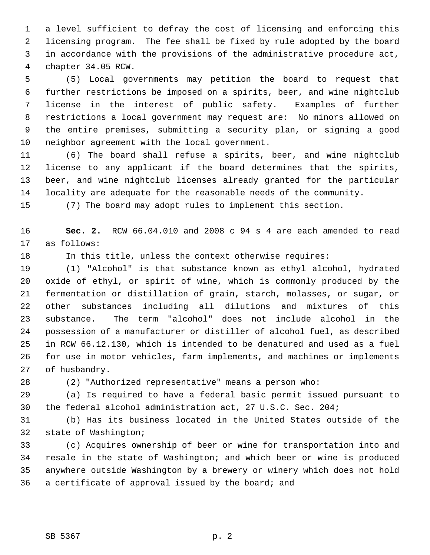1 a level sufficient to defray the cost of licensing and enforcing this 2 licensing program. The fee shall be fixed by rule adopted by the board 3 in accordance with the provisions of the administrative procedure act, 4 chapter 34.05 RCW.

 5 (5) Local governments may petition the board to request that 6 further restrictions be imposed on a spirits, beer, and wine nightclub 7 license in the interest of public safety. Examples of further 8 restrictions a local government may request are: No minors allowed on 9 the entire premises, submitting a security plan, or signing a good 10 neighbor agreement with the local government.

11 (6) The board shall refuse a spirits, beer, and wine nightclub 12 license to any applicant if the board determines that the spirits, 13 beer, and wine nightclub licenses already granted for the particular 14 locality are adequate for the reasonable needs of the community.

15 (7) The board may adopt rules to implement this section.

16 **Sec. 2.** RCW 66.04.010 and 2008 c 94 s 4 are each amended to read 17 as follows:

18 In this title, unless the context otherwise requires:

19 (1) "Alcohol" is that substance known as ethyl alcohol, hydrated 20 oxide of ethyl, or spirit of wine, which is commonly produced by the 21 fermentation or distillation of grain, starch, molasses, or sugar, or 22 other substances including all dilutions and mixtures of this 23 substance. The term "alcohol" does not include alcohol in the 24 possession of a manufacturer or distiller of alcohol fuel, as described 25 in RCW 66.12.130, which is intended to be denatured and used as a fuel 26 for use in motor vehicles, farm implements, and machines or implements 27 of husbandry.

28 (2) "Authorized representative" means a person who:

29 (a) Is required to have a federal basic permit issued pursuant to 30 the federal alcohol administration act, 27 U.S.C. Sec. 204;

31 (b) Has its business located in the United States outside of the 32 state of Washington;

33 (c) Acquires ownership of beer or wine for transportation into and 34 resale in the state of Washington; and which beer or wine is produced 35 anywhere outside Washington by a brewery or winery which does not hold 36 a certificate of approval issued by the board; and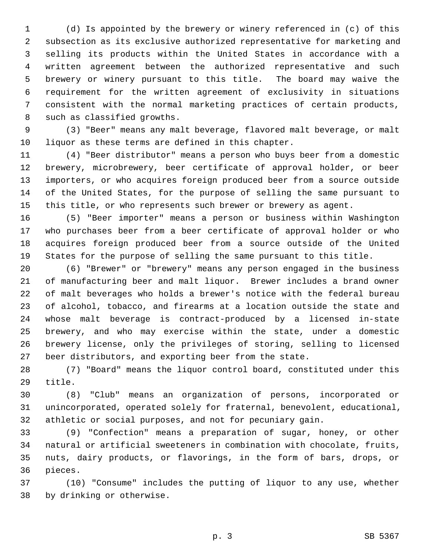1 (d) Is appointed by the brewery or winery referenced in (c) of this 2 subsection as its exclusive authorized representative for marketing and 3 selling its products within the United States in accordance with a 4 written agreement between the authorized representative and such 5 brewery or winery pursuant to this title. The board may waive the 6 requirement for the written agreement of exclusivity in situations 7 consistent with the normal marketing practices of certain products, 8 such as classified growths.

 9 (3) "Beer" means any malt beverage, flavored malt beverage, or malt 10 liquor as these terms are defined in this chapter.

11 (4) "Beer distributor" means a person who buys beer from a domestic 12 brewery, microbrewery, beer certificate of approval holder, or beer 13 importers, or who acquires foreign produced beer from a source outside 14 of the United States, for the purpose of selling the same pursuant to 15 this title, or who represents such brewer or brewery as agent.

16 (5) "Beer importer" means a person or business within Washington 17 who purchases beer from a beer certificate of approval holder or who 18 acquires foreign produced beer from a source outside of the United 19 States for the purpose of selling the same pursuant to this title.

20 (6) "Brewer" or "brewery" means any person engaged in the business 21 of manufacturing beer and malt liquor. Brewer includes a brand owner 22 of malt beverages who holds a brewer's notice with the federal bureau 23 of alcohol, tobacco, and firearms at a location outside the state and 24 whose malt beverage is contract-produced by a licensed in-state 25 brewery, and who may exercise within the state, under a domestic 26 brewery license, only the privileges of storing, selling to licensed 27 beer distributors, and exporting beer from the state.

28 (7) "Board" means the liquor control board, constituted under this 29 title.

30 (8) "Club" means an organization of persons, incorporated or 31 unincorporated, operated solely for fraternal, benevolent, educational, 32 athletic or social purposes, and not for pecuniary gain.

33 (9) "Confection" means a preparation of sugar, honey, or other 34 natural or artificial sweeteners in combination with chocolate, fruits, 35 nuts, dairy products, or flavorings, in the form of bars, drops, or 36 pieces.

37 (10) "Consume" includes the putting of liquor to any use, whether 38 by drinking or otherwise.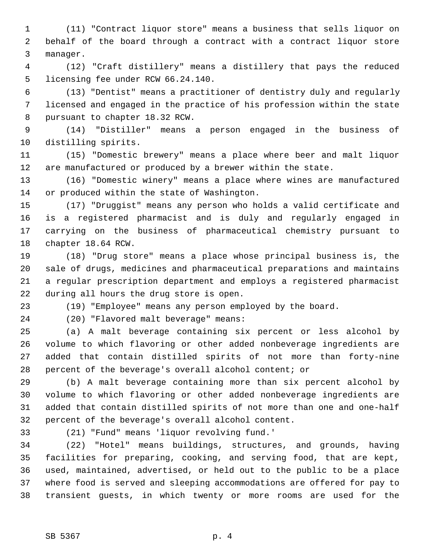1 (11) "Contract liquor store" means a business that sells liquor on 2 behalf of the board through a contract with a contract liquor store 3 manager.

 4 (12) "Craft distillery" means a distillery that pays the reduced 5 licensing fee under RCW 66.24.140.

 6 (13) "Dentist" means a practitioner of dentistry duly and regularly 7 licensed and engaged in the practice of his profession within the state 8 pursuant to chapter 18.32 RCW.

 9 (14) "Distiller" means a person engaged in the business of 10 distilling spirits.

11 (15) "Domestic brewery" means a place where beer and malt liquor 12 are manufactured or produced by a brewer within the state.

13 (16) "Domestic winery" means a place where wines are manufactured 14 or produced within the state of Washington.

15 (17) "Druggist" means any person who holds a valid certificate and 16 is a registered pharmacist and is duly and regularly engaged in 17 carrying on the business of pharmaceutical chemistry pursuant to 18 chapter 18.64 RCW.

19 (18) "Drug store" means a place whose principal business is, the 20 sale of drugs, medicines and pharmaceutical preparations and maintains 21 a regular prescription department and employs a registered pharmacist 22 during all hours the drug store is open.

23 (19) "Employee" means any person employed by the board.

24 (20) "Flavored malt beverage" means:

25 (a) A malt beverage containing six percent or less alcohol by 26 volume to which flavoring or other added nonbeverage ingredients are 27 added that contain distilled spirits of not more than forty-nine 28 percent of the beverage's overall alcohol content; or

29 (b) A malt beverage containing more than six percent alcohol by 30 volume to which flavoring or other added nonbeverage ingredients are 31 added that contain distilled spirits of not more than one and one-half 32 percent of the beverage's overall alcohol content.

33 (21) "Fund" means 'liquor revolving fund.'

34 (22) "Hotel" means buildings, structures, and grounds, having 35 facilities for preparing, cooking, and serving food, that are kept, 36 used, maintained, advertised, or held out to the public to be a place 37 where food is served and sleeping accommodations are offered for pay to 38 transient guests, in which twenty or more rooms are used for the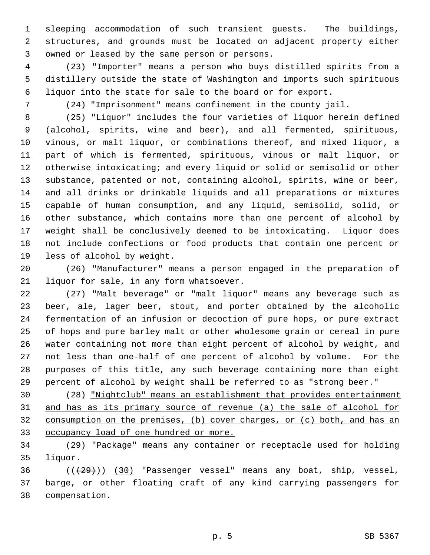1 sleeping accommodation of such transient guests. The buildings, 2 structures, and grounds must be located on adjacent property either 3 owned or leased by the same person or persons.

 4 (23) "Importer" means a person who buys distilled spirits from a 5 distillery outside the state of Washington and imports such spirituous 6 liquor into the state for sale to the board or for export.

7 (24) "Imprisonment" means confinement in the county jail.

 8 (25) "Liquor" includes the four varieties of liquor herein defined 9 (alcohol, spirits, wine and beer), and all fermented, spirituous, 10 vinous, or malt liquor, or combinations thereof, and mixed liquor, a 11 part of which is fermented, spirituous, vinous or malt liquor, or 12 otherwise intoxicating; and every liquid or solid or semisolid or other 13 substance, patented or not, containing alcohol, spirits, wine or beer, 14 and all drinks or drinkable liquids and all preparations or mixtures 15 capable of human consumption, and any liquid, semisolid, solid, or 16 other substance, which contains more than one percent of alcohol by 17 weight shall be conclusively deemed to be intoxicating. Liquor does 18 not include confections or food products that contain one percent or 19 less of alcohol by weight.

20 (26) "Manufacturer" means a person engaged in the preparation of 21 liquor for sale, in any form whatsoever.

22 (27) "Malt beverage" or "malt liquor" means any beverage such as 23 beer, ale, lager beer, stout, and porter obtained by the alcoholic 24 fermentation of an infusion or decoction of pure hops, or pure extract 25 of hops and pure barley malt or other wholesome grain or cereal in pure 26 water containing not more than eight percent of alcohol by weight, and 27 not less than one-half of one percent of alcohol by volume. For the 28 purposes of this title, any such beverage containing more than eight 29 percent of alcohol by weight shall be referred to as "strong beer."

30 (28) "Nightclub" means an establishment that provides entertainment and has as its primary source of revenue (a) the sale of alcohol for consumption on the premises, (b) cover charges, or (c) both, and has an occupancy load of one hundred or more.

34 (29) "Package" means any container or receptacle used for holding 35 liquor.

 $36$  ( $(\frac{29}{1})$ ) (30) "Passenger vessel" means any boat, ship, vessel, 37 barge, or other floating craft of any kind carrying passengers for 38 compensation.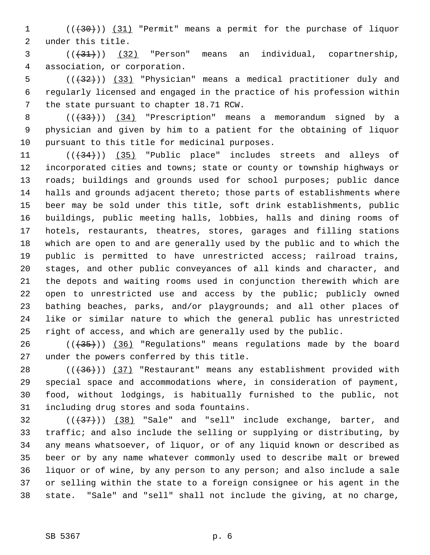1 (( $(30)$ )) (31) "Permit" means a permit for the purchase of liquor 2 under this title.

 $(3)$   $(31)$   $(32)$  "Person" means an individual, copartnership, 4 association, or corporation.

 $5$  (( $\left(\frac{1}{32}\right)$ ) (33) "Physician" means a medical practitioner duly and 6 regularly licensed and engaged in the practice of his profession within 7 the state pursuant to chapter 18.71 RCW.

8 (( $\left(\frac{33}{12}\right)$ ) (34) "Prescription" means a memorandum signed by a 9 physician and given by him to a patient for the obtaining of liquor 10 pursuant to this title for medicinal purposes.

11  $((+34))$   $(35)$  "Public place" includes streets and alleys of 12 incorporated cities and towns; state or county or township highways or 13 roads; buildings and grounds used for school purposes; public dance 14 halls and grounds adjacent thereto; those parts of establishments where 15 beer may be sold under this title, soft drink establishments, public 16 buildings, public meeting halls, lobbies, halls and dining rooms of 17 hotels, restaurants, theatres, stores, garages and filling stations 18 which are open to and are generally used by the public and to which the 19 public is permitted to have unrestricted access; railroad trains, 20 stages, and other public conveyances of all kinds and character, and 21 the depots and waiting rooms used in conjunction therewith which are 22 open to unrestricted use and access by the public; publicly owned 23 bathing beaches, parks, and/or playgrounds; and all other places of 24 like or similar nature to which the general public has unrestricted 25 right of access, and which are generally used by the public.

 $26$  ( $(\frac{435}{})$ ) (36) "Regulations" means regulations made by the board 27 under the powers conferred by this title.

28 (( $(36)$ )) (37) "Restaurant" means any establishment provided with 29 special space and accommodations where, in consideration of payment, 30 food, without lodgings, is habitually furnished to the public, not 31 including drug stores and soda fountains.

 $(1,37)$  ( $(38)$  "Sale" and "sell" include exchange, barter, and 33 traffic; and also include the selling or supplying or distributing, by 34 any means whatsoever, of liquor, or of any liquid known or described as 35 beer or by any name whatever commonly used to describe malt or brewed 36 liquor or of wine, by any person to any person; and also include a sale 37 or selling within the state to a foreign consignee or his agent in the 38 state. "Sale" and "sell" shall not include the giving, at no charge,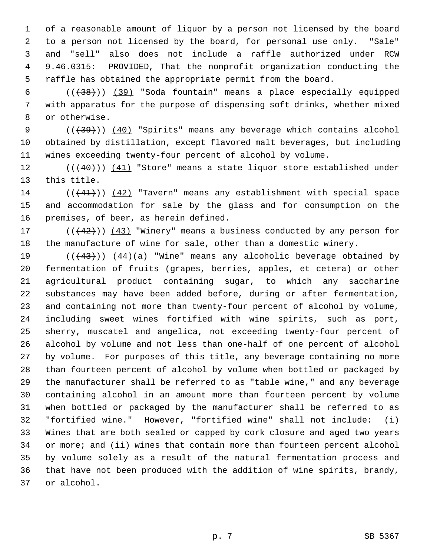1 of a reasonable amount of liquor by a person not licensed by the board 2 to a person not licensed by the board, for personal use only. "Sale" 3 and "sell" also does not include a raffle authorized under RCW 4 9.46.0315: PROVIDED, That the nonprofit organization conducting the 5 raffle has obtained the appropriate permit from the board.

 6 (((38))) (39) "Soda fountain" means a place especially equipped 7 with apparatus for the purpose of dispensing soft drinks, whether mixed 8 or otherwise.

9 (( $\left(\frac{439}{1}\right)$ ) (40) "Spirits" means any beverage which contains alcohol 10 obtained by distillation, except flavored malt beverages, but including 11 wines exceeding twenty-four percent of alcohol by volume.

12 (( $(40)$ )) (41) "Store" means a state liquor store established under 13 this title.

14 (((41))) (42) "Tavern" means any establishment with special space 15 and accommodation for sale by the glass and for consumption on the 16 premises, of beer, as herein defined.

17  $((+42))$   $(43)$  "Winery" means a business conducted by any person for 18 the manufacture of wine for sale, other than a domestic winery.

19  $((+43))$   $(44)(a)$  "Wine" means any alcoholic beverage obtained by 20 fermentation of fruits (grapes, berries, apples, et cetera) or other 21 agricultural product containing sugar, to which any saccharine 22 substances may have been added before, during or after fermentation, 23 and containing not more than twenty-four percent of alcohol by volume, 24 including sweet wines fortified with wine spirits, such as port, 25 sherry, muscatel and angelica, not exceeding twenty-four percent of 26 alcohol by volume and not less than one-half of one percent of alcohol 27 by volume. For purposes of this title, any beverage containing no more 28 than fourteen percent of alcohol by volume when bottled or packaged by 29 the manufacturer shall be referred to as "table wine," and any beverage 30 containing alcohol in an amount more than fourteen percent by volume 31 when bottled or packaged by the manufacturer shall be referred to as 32 "fortified wine." However, "fortified wine" shall not include: (i) 33 Wines that are both sealed or capped by cork closure and aged two years 34 or more; and (ii) wines that contain more than fourteen percent alcohol 35 by volume solely as a result of the natural fermentation process and 36 that have not been produced with the addition of wine spirits, brandy, 37 or alcohol.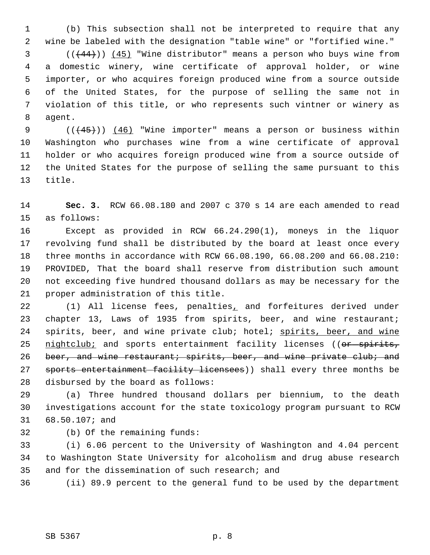1 (b) This subsection shall not be interpreted to require that any 2 wine be labeled with the designation "table wine" or "fortified wine."

 $(1, 44)$ ) (45) "Wine distributor" means a person who buys wine from 4 a domestic winery, wine certificate of approval holder, or wine 5 importer, or who acquires foreign produced wine from a source outside 6 of the United States, for the purpose of selling the same not in 7 violation of this title, or who represents such vintner or winery as 8 agent.

9  $((+45))$   $(46)$  "Wine importer" means a person or business within 10 Washington who purchases wine from a wine certificate of approval 11 holder or who acquires foreign produced wine from a source outside of 12 the United States for the purpose of selling the same pursuant to this 13 title.

14 **Sec. 3.** RCW 66.08.180 and 2007 c 370 s 14 are each amended to read 15 as follows:

16 Except as provided in RCW 66.24.290(1), moneys in the liquor 17 revolving fund shall be distributed by the board at least once every 18 three months in accordance with RCW 66.08.190, 66.08.200 and 66.08.210: 19 PROVIDED, That the board shall reserve from distribution such amount 20 not exceeding five hundred thousand dollars as may be necessary for the 21 proper administration of this title.

22 (1) All license fees, penalties, and forfeitures derived under 23 chapter 13, Laws of 1935 from spirits, beer, and wine restaurant; 24 spirits, beer, and wine private club; hotel; spirits, beer, and wine 25 nightclub; and sports entertainment facility licenses ((or spirits, 26 beer, and wine restaurant; spirits, beer, and wine private club; and 27 sports entertainment facility licensees)) shall every three months be 28 disbursed by the board as follows:

29 (a) Three hundred thousand dollars per biennium, to the death 30 investigations account for the state toxicology program pursuant to RCW 31 68.50.107; and

32 (b) Of the remaining funds:

33 (i) 6.06 percent to the University of Washington and 4.04 percent 34 to Washington State University for alcoholism and drug abuse research 35 and for the dissemination of such research; and

36 (ii) 89.9 percent to the general fund to be used by the department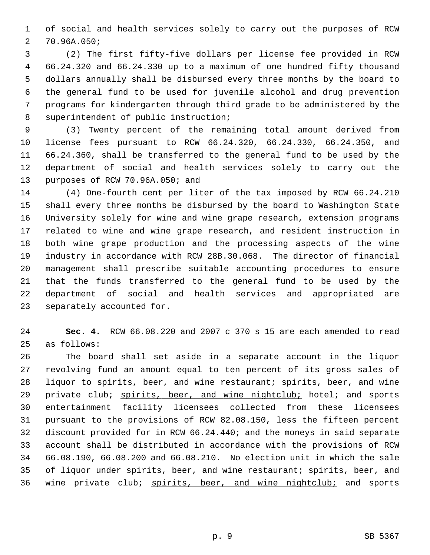1 of social and health services solely to carry out the purposes of RCW 2 70.96A.050;

 3 (2) The first fifty-five dollars per license fee provided in RCW 4 66.24.320 and 66.24.330 up to a maximum of one hundred fifty thousand 5 dollars annually shall be disbursed every three months by the board to 6 the general fund to be used for juvenile alcohol and drug prevention 7 programs for kindergarten through third grade to be administered by the 8 superintendent of public instruction;

 9 (3) Twenty percent of the remaining total amount derived from 10 license fees pursuant to RCW 66.24.320, 66.24.330, 66.24.350, and 11 66.24.360, shall be transferred to the general fund to be used by the 12 department of social and health services solely to carry out the 13 purposes of RCW 70.96A.050; and

14 (4) One-fourth cent per liter of the tax imposed by RCW 66.24.210 15 shall every three months be disbursed by the board to Washington State 16 University solely for wine and wine grape research, extension programs 17 related to wine and wine grape research, and resident instruction in 18 both wine grape production and the processing aspects of the wine 19 industry in accordance with RCW 28B.30.068. The director of financial 20 management shall prescribe suitable accounting procedures to ensure 21 that the funds transferred to the general fund to be used by the 22 department of social and health services and appropriated are 23 separately accounted for.

24 **Sec. 4.** RCW 66.08.220 and 2007 c 370 s 15 are each amended to read 25 as follows:

26 The board shall set aside in a separate account in the liquor 27 revolving fund an amount equal to ten percent of its gross sales of 28 liquor to spirits, beer, and wine restaurant; spirits, beer, and wine 29 private club; spirits, beer, and wine nightclub; hotel; and sports 30 entertainment facility licensees collected from these licensees 31 pursuant to the provisions of RCW 82.08.150, less the fifteen percent 32 discount provided for in RCW 66.24.440; and the moneys in said separate 33 account shall be distributed in accordance with the provisions of RCW 34 66.08.190, 66.08.200 and 66.08.210. No election unit in which the sale 35 of liquor under spirits, beer, and wine restaurant; spirits, beer, and 36 wine private club; spirits, beer, and wine nightclub; and sports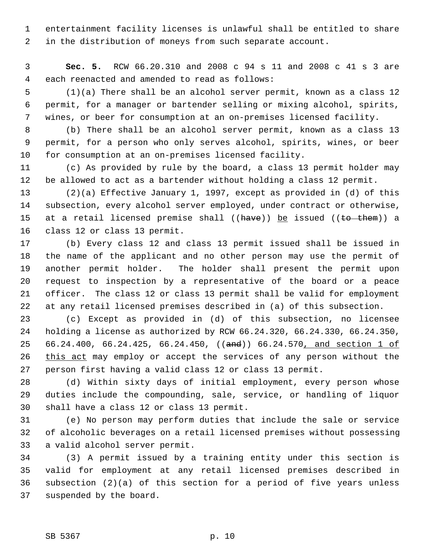1 entertainment facility licenses is unlawful shall be entitled to share 2 in the distribution of moneys from such separate account.

 3 **Sec. 5.** RCW 66.20.310 and 2008 c 94 s 11 and 2008 c 41 s 3 are 4 each reenacted and amended to read as follows:

 5 (1)(a) There shall be an alcohol server permit, known as a class 12 6 permit, for a manager or bartender selling or mixing alcohol, spirits, 7 wines, or beer for consumption at an on-premises licensed facility.

 8 (b) There shall be an alcohol server permit, known as a class 13 9 permit, for a person who only serves alcohol, spirits, wines, or beer 10 for consumption at an on-premises licensed facility.

11 (c) As provided by rule by the board, a class 13 permit holder may 12 be allowed to act as a bartender without holding a class 12 permit.

13 (2)(a) Effective January 1, 1997, except as provided in (d) of this 14 subsection, every alcohol server employed, under contract or otherwise, 15 at a retail licensed premise shall  $((have))$  be issued  $((to +hem))$  a 16 class 12 or class 13 permit.

17 (b) Every class 12 and class 13 permit issued shall be issued in 18 the name of the applicant and no other person may use the permit of 19 another permit holder. The holder shall present the permit upon 20 request to inspection by a representative of the board or a peace 21 officer. The class 12 or class 13 permit shall be valid for employment 22 at any retail licensed premises described in (a) of this subsection.

23 (c) Except as provided in (d) of this subsection, no licensee 24 holding a license as authorized by RCW 66.24.320, 66.24.330, 66.24.350, 25 66.24.400, 66.24.425, 66.24.450, ((and)) 66.24.570, and section 1 of 26 this act may employ or accept the services of any person without the 27 person first having a valid class 12 or class 13 permit.

28 (d) Within sixty days of initial employment, every person whose 29 duties include the compounding, sale, service, or handling of liquor 30 shall have a class 12 or class 13 permit.

31 (e) No person may perform duties that include the sale or service 32 of alcoholic beverages on a retail licensed premises without possessing 33 a valid alcohol server permit.

34 (3) A permit issued by a training entity under this section is 35 valid for employment at any retail licensed premises described in 36 subsection (2)(a) of this section for a period of five years unless 37 suspended by the board.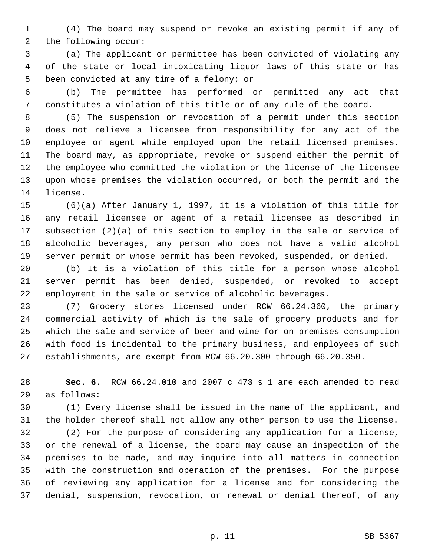1 (4) The board may suspend or revoke an existing permit if any of 2 the following occur:

 3 (a) The applicant or permittee has been convicted of violating any 4 of the state or local intoxicating liquor laws of this state or has 5 been convicted at any time of a felony; or

 6 (b) The permittee has performed or permitted any act that 7 constitutes a violation of this title or of any rule of the board.

 8 (5) The suspension or revocation of a permit under this section 9 does not relieve a licensee from responsibility for any act of the 10 employee or agent while employed upon the retail licensed premises. 11 The board may, as appropriate, revoke or suspend either the permit of 12 the employee who committed the violation or the license of the licensee 13 upon whose premises the violation occurred, or both the permit and the 14 license.

15 (6)(a) After January 1, 1997, it is a violation of this title for 16 any retail licensee or agent of a retail licensee as described in 17 subsection (2)(a) of this section to employ in the sale or service of 18 alcoholic beverages, any person who does not have a valid alcohol 19 server permit or whose permit has been revoked, suspended, or denied.

20 (b) It is a violation of this title for a person whose alcohol 21 server permit has been denied, suspended, or revoked to accept 22 employment in the sale or service of alcoholic beverages.

23 (7) Grocery stores licensed under RCW 66.24.360, the primary 24 commercial activity of which is the sale of grocery products and for 25 which the sale and service of beer and wine for on-premises consumption 26 with food is incidental to the primary business, and employees of such 27 establishments, are exempt from RCW 66.20.300 through 66.20.350.

28 **Sec. 6.** RCW 66.24.010 and 2007 c 473 s 1 are each amended to read 29 as follows:

30 (1) Every license shall be issued in the name of the applicant, and 31 the holder thereof shall not allow any other person to use the license.

32 (2) For the purpose of considering any application for a license, 33 or the renewal of a license, the board may cause an inspection of the 34 premises to be made, and may inquire into all matters in connection 35 with the construction and operation of the premises. For the purpose 36 of reviewing any application for a license and for considering the 37 denial, suspension, revocation, or renewal or denial thereof, of any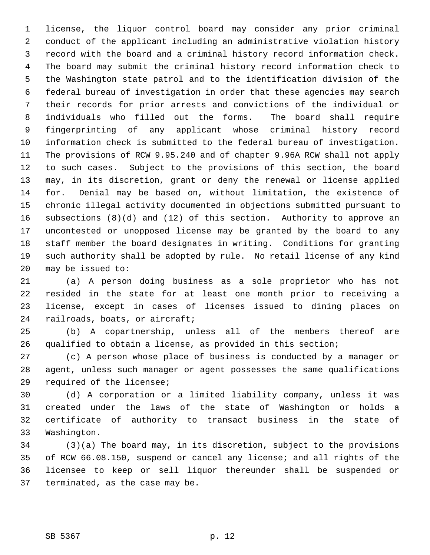1 license, the liquor control board may consider any prior criminal 2 conduct of the applicant including an administrative violation history 3 record with the board and a criminal history record information check. 4 The board may submit the criminal history record information check to 5 the Washington state patrol and to the identification division of the 6 federal bureau of investigation in order that these agencies may search 7 their records for prior arrests and convictions of the individual or 8 individuals who filled out the forms. The board shall require 9 fingerprinting of any applicant whose criminal history record 10 information check is submitted to the federal bureau of investigation. 11 The provisions of RCW 9.95.240 and of chapter 9.96A RCW shall not apply 12 to such cases. Subject to the provisions of this section, the board 13 may, in its discretion, grant or deny the renewal or license applied 14 for. Denial may be based on, without limitation, the existence of 15 chronic illegal activity documented in objections submitted pursuant to 16 subsections (8)(d) and (12) of this section. Authority to approve an 17 uncontested or unopposed license may be granted by the board to any 18 staff member the board designates in writing. Conditions for granting 19 such authority shall be adopted by rule. No retail license of any kind 20 may be issued to:

21 (a) A person doing business as a sole proprietor who has not 22 resided in the state for at least one month prior to receiving a 23 license, except in cases of licenses issued to dining places on 24 railroads, boats, or aircraft;

25 (b) A copartnership, unless all of the members thereof are 26 qualified to obtain a license, as provided in this section;

27 (c) A person whose place of business is conducted by a manager or 28 agent, unless such manager or agent possesses the same qualifications 29 required of the licensee;

30 (d) A corporation or a limited liability company, unless it was 31 created under the laws of the state of Washington or holds a 32 certificate of authority to transact business in the state of 33 Washington.

34 (3)(a) The board may, in its discretion, subject to the provisions 35 of RCW 66.08.150, suspend or cancel any license; and all rights of the 36 licensee to keep or sell liquor thereunder shall be suspended or 37 terminated, as the case may be.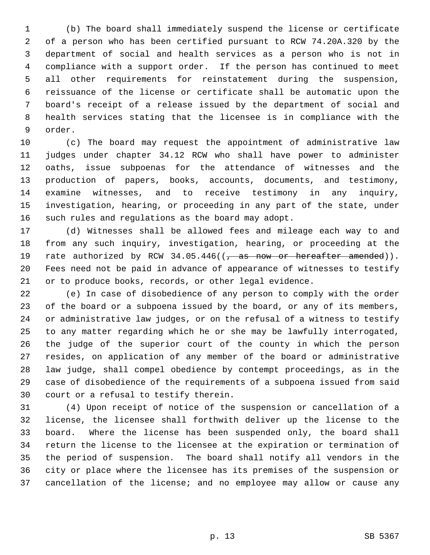1 (b) The board shall immediately suspend the license or certificate 2 of a person who has been certified pursuant to RCW 74.20A.320 by the 3 department of social and health services as a person who is not in 4 compliance with a support order. If the person has continued to meet 5 all other requirements for reinstatement during the suspension, 6 reissuance of the license or certificate shall be automatic upon the 7 board's receipt of a release issued by the department of social and 8 health services stating that the licensee is in compliance with the 9 order.

10 (c) The board may request the appointment of administrative law 11 judges under chapter 34.12 RCW who shall have power to administer 12 oaths, issue subpoenas for the attendance of witnesses and the 13 production of papers, books, accounts, documents, and testimony, 14 examine witnesses, and to receive testimony in any inquiry, 15 investigation, hearing, or proceeding in any part of the state, under 16 such rules and regulations as the board may adopt.

17 (d) Witnesses shall be allowed fees and mileage each way to and 18 from any such inquiry, investigation, hearing, or proceeding at the 19 rate authorized by RCW  $34.05.446$  ( $\frac{25}{10}$  as now or hereafter amended)). 20 Fees need not be paid in advance of appearance of witnesses to testify 21 or to produce books, records, or other legal evidence.

22 (e) In case of disobedience of any person to comply with the order 23 of the board or a subpoena issued by the board, or any of its members, 24 or administrative law judges, or on the refusal of a witness to testify 25 to any matter regarding which he or she may be lawfully interrogated, 26 the judge of the superior court of the county in which the person 27 resides, on application of any member of the board or administrative 28 law judge, shall compel obedience by contempt proceedings, as in the 29 case of disobedience of the requirements of a subpoena issued from said 30 court or a refusal to testify therein.

31 (4) Upon receipt of notice of the suspension or cancellation of a 32 license, the licensee shall forthwith deliver up the license to the 33 board. Where the license has been suspended only, the board shall 34 return the license to the licensee at the expiration or termination of 35 the period of suspension. The board shall notify all vendors in the 36 city or place where the licensee has its premises of the suspension or 37 cancellation of the license; and no employee may allow or cause any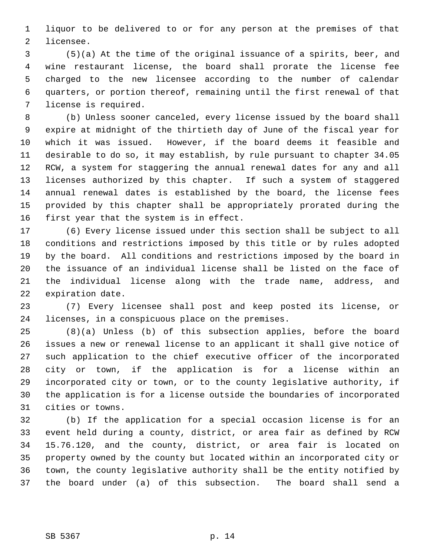1 liquor to be delivered to or for any person at the premises of that 2 licensee.

 3 (5)(a) At the time of the original issuance of a spirits, beer, and 4 wine restaurant license, the board shall prorate the license fee 5 charged to the new licensee according to the number of calendar 6 quarters, or portion thereof, remaining until the first renewal of that 7 license is required.

 8 (b) Unless sooner canceled, every license issued by the board shall 9 expire at midnight of the thirtieth day of June of the fiscal year for 10 which it was issued. However, if the board deems it feasible and 11 desirable to do so, it may establish, by rule pursuant to chapter 34.05 12 RCW, a system for staggering the annual renewal dates for any and all 13 licenses authorized by this chapter. If such a system of staggered 14 annual renewal dates is established by the board, the license fees 15 provided by this chapter shall be appropriately prorated during the 16 first year that the system is in effect.

17 (6) Every license issued under this section shall be subject to all 18 conditions and restrictions imposed by this title or by rules adopted 19 by the board. All conditions and restrictions imposed by the board in 20 the issuance of an individual license shall be listed on the face of 21 the individual license along with the trade name, address, and 22 expiration date.

23 (7) Every licensee shall post and keep posted its license, or 24 licenses, in a conspicuous place on the premises.

25 (8)(a) Unless (b) of this subsection applies, before the board 26 issues a new or renewal license to an applicant it shall give notice of 27 such application to the chief executive officer of the incorporated 28 city or town, if the application is for a license within an 29 incorporated city or town, or to the county legislative authority, if 30 the application is for a license outside the boundaries of incorporated 31 cities or towns.

32 (b) If the application for a special occasion license is for an 33 event held during a county, district, or area fair as defined by RCW 34 15.76.120, and the county, district, or area fair is located on 35 property owned by the county but located within an incorporated city or 36 town, the county legislative authority shall be the entity notified by 37 the board under (a) of this subsection. The board shall send a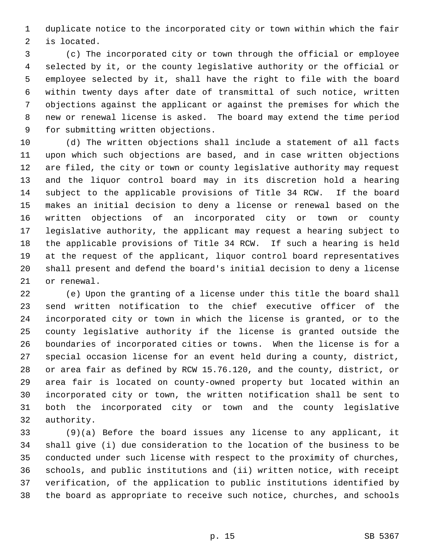1 duplicate notice to the incorporated city or town within which the fair 2 is located.

 3 (c) The incorporated city or town through the official or employee 4 selected by it, or the county legislative authority or the official or 5 employee selected by it, shall have the right to file with the board 6 within twenty days after date of transmittal of such notice, written 7 objections against the applicant or against the premises for which the 8 new or renewal license is asked. The board may extend the time period 9 for submitting written objections.

10 (d) The written objections shall include a statement of all facts 11 upon which such objections are based, and in case written objections 12 are filed, the city or town or county legislative authority may request 13 and the liquor control board may in its discretion hold a hearing 14 subject to the applicable provisions of Title 34 RCW. If the board 15 makes an initial decision to deny a license or renewal based on the 16 written objections of an incorporated city or town or county 17 legislative authority, the applicant may request a hearing subject to 18 the applicable provisions of Title 34 RCW. If such a hearing is held 19 at the request of the applicant, liquor control board representatives 20 shall present and defend the board's initial decision to deny a license 21 or renewal.

22 (e) Upon the granting of a license under this title the board shall 23 send written notification to the chief executive officer of the 24 incorporated city or town in which the license is granted, or to the 25 county legislative authority if the license is granted outside the 26 boundaries of incorporated cities or towns. When the license is for a 27 special occasion license for an event held during a county, district, 28 or area fair as defined by RCW 15.76.120, and the county, district, or 29 area fair is located on county-owned property but located within an 30 incorporated city or town, the written notification shall be sent to 31 both the incorporated city or town and the county legislative 32 authority.

33 (9)(a) Before the board issues any license to any applicant, it 34 shall give (i) due consideration to the location of the business to be 35 conducted under such license with respect to the proximity of churches, 36 schools, and public institutions and (ii) written notice, with receipt 37 verification, of the application to public institutions identified by 38 the board as appropriate to receive such notice, churches, and schools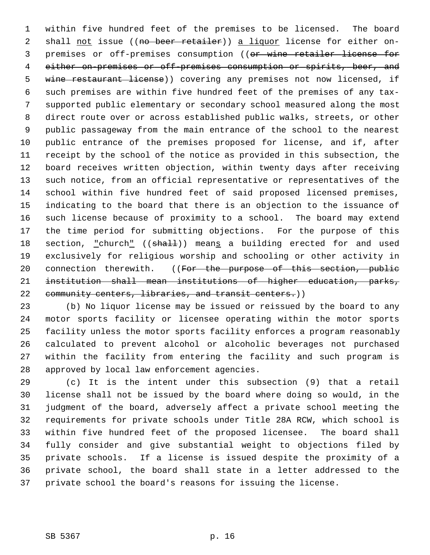1 within five hundred feet of the premises to be licensed. The board 2 shall not issue ((no beer retailer)) a liquor license for either on-3 premises or off-premises consumption ((or wine retailer license for 4 either on-premises or off-premises consumption or spirits, beer, and 5 wine restaurant license)) covering any premises not now licensed, if 6 such premises are within five hundred feet of the premises of any tax- 7 supported public elementary or secondary school measured along the most 8 direct route over or across established public walks, streets, or other 9 public passageway from the main entrance of the school to the nearest 10 public entrance of the premises proposed for license, and if, after 11 receipt by the school of the notice as provided in this subsection, the 12 board receives written objection, within twenty days after receiving 13 such notice, from an official representative or representatives of the 14 school within five hundred feet of said proposed licensed premises, 15 indicating to the board that there is an objection to the issuance of 16 such license because of proximity to a school. The board may extend 17 the time period for submitting objections. For the purpose of this 18 section, "church" ((shall)) means a building erected for and used 19 exclusively for religious worship and schooling or other activity in 20 connection therewith. ((For the purpose of this section, public 21 institution shall mean institutions of higher education, parks, 22 community centers, libraries, and transit centers.))

23 (b) No liquor license may be issued or reissued by the board to any 24 motor sports facility or licensee operating within the motor sports 25 facility unless the motor sports facility enforces a program reasonably 26 calculated to prevent alcohol or alcoholic beverages not purchased 27 within the facility from entering the facility and such program is 28 approved by local law enforcement agencies.

29 (c) It is the intent under this subsection (9) that a retail 30 license shall not be issued by the board where doing so would, in the 31 judgment of the board, adversely affect a private school meeting the 32 requirements for private schools under Title 28A RCW, which school is 33 within five hundred feet of the proposed licensee. The board shall 34 fully consider and give substantial weight to objections filed by 35 private schools. If a license is issued despite the proximity of a 36 private school, the board shall state in a letter addressed to the 37 private school the board's reasons for issuing the license.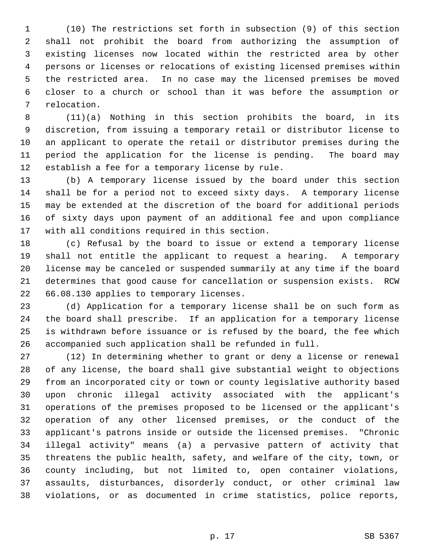1 (10) The restrictions set forth in subsection (9) of this section 2 shall not prohibit the board from authorizing the assumption of 3 existing licenses now located within the restricted area by other 4 persons or licenses or relocations of existing licensed premises within 5 the restricted area. In no case may the licensed premises be moved 6 closer to a church or school than it was before the assumption or 7 relocation.

 8 (11)(a) Nothing in this section prohibits the board, in its 9 discretion, from issuing a temporary retail or distributor license to 10 an applicant to operate the retail or distributor premises during the 11 period the application for the license is pending. The board may 12 establish a fee for a temporary license by rule.

13 (b) A temporary license issued by the board under this section 14 shall be for a period not to exceed sixty days. A temporary license 15 may be extended at the discretion of the board for additional periods 16 of sixty days upon payment of an additional fee and upon compliance 17 with all conditions required in this section.

18 (c) Refusal by the board to issue or extend a temporary license 19 shall not entitle the applicant to request a hearing. A temporary 20 license may be canceled or suspended summarily at any time if the board 21 determines that good cause for cancellation or suspension exists. RCW 22 66.08.130 applies to temporary licenses.

23 (d) Application for a temporary license shall be on such form as 24 the board shall prescribe. If an application for a temporary license 25 is withdrawn before issuance or is refused by the board, the fee which 26 accompanied such application shall be refunded in full.

27 (12) In determining whether to grant or deny a license or renewal 28 of any license, the board shall give substantial weight to objections 29 from an incorporated city or town or county legislative authority based 30 upon chronic illegal activity associated with the applicant's 31 operations of the premises proposed to be licensed or the applicant's 32 operation of any other licensed premises, or the conduct of the 33 applicant's patrons inside or outside the licensed premises. "Chronic 34 illegal activity" means (a) a pervasive pattern of activity that 35 threatens the public health, safety, and welfare of the city, town, or 36 county including, but not limited to, open container violations, 37 assaults, disturbances, disorderly conduct, or other criminal law 38 violations, or as documented in crime statistics, police reports,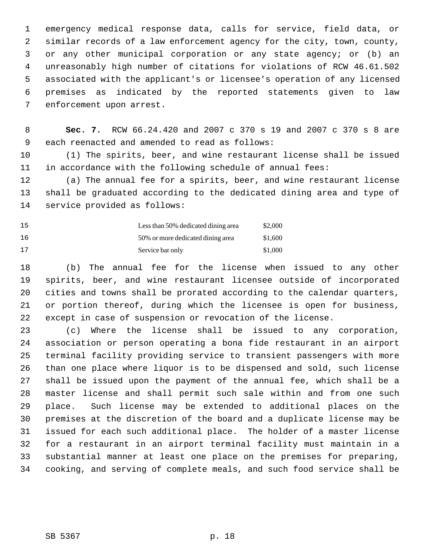1 emergency medical response data, calls for service, field data, or 2 similar records of a law enforcement agency for the city, town, county, 3 or any other municipal corporation or any state agency; or (b) an 4 unreasonably high number of citations for violations of RCW 46.61.502 5 associated with the applicant's or licensee's operation of any licensed 6 premises as indicated by the reported statements given to law 7 enforcement upon arrest.

 8 **Sec. 7.** RCW 66.24.420 and 2007 c 370 s 19 and 2007 c 370 s 8 are 9 each reenacted and amended to read as follows:

10 (1) The spirits, beer, and wine restaurant license shall be issued 11 in accordance with the following schedule of annual fees:

12 (a) The annual fee for a spirits, beer, and wine restaurant license 13 shall be graduated according to the dedicated dining area and type of 14 service provided as follows:

| 15 | Less than 50% dedicated dining area | \$2,000 |
|----|-------------------------------------|---------|
| 16 | 50% or more dedicated dining area   | \$1,600 |
| 17 | Service bar only                    | \$1,000 |

18 (b) The annual fee for the license when issued to any other 19 spirits, beer, and wine restaurant licensee outside of incorporated 20 cities and towns shall be prorated according to the calendar quarters, 21 or portion thereof, during which the licensee is open for business, 22 except in case of suspension or revocation of the license.

23 (c) Where the license shall be issued to any corporation, 24 association or person operating a bona fide restaurant in an airport 25 terminal facility providing service to transient passengers with more 26 than one place where liquor is to be dispensed and sold, such license 27 shall be issued upon the payment of the annual fee, which shall be a 28 master license and shall permit such sale within and from one such 29 place. Such license may be extended to additional places on the 30 premises at the discretion of the board and a duplicate license may be 31 issued for each such additional place. The holder of a master license 32 for a restaurant in an airport terminal facility must maintain in a 33 substantial manner at least one place on the premises for preparing, 34 cooking, and serving of complete meals, and such food service shall be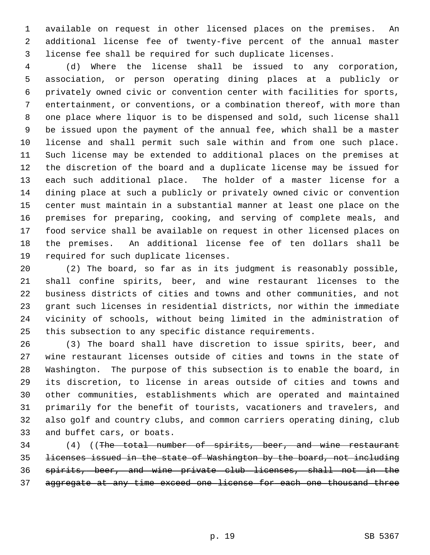1 available on request in other licensed places on the premises. An 2 additional license fee of twenty-five percent of the annual master 3 license fee shall be required for such duplicate licenses.

 4 (d) Where the license shall be issued to any corporation, 5 association, or person operating dining places at a publicly or 6 privately owned civic or convention center with facilities for sports, 7 entertainment, or conventions, or a combination thereof, with more than 8 one place where liquor is to be dispensed and sold, such license shall 9 be issued upon the payment of the annual fee, which shall be a master 10 license and shall permit such sale within and from one such place. 11 Such license may be extended to additional places on the premises at 12 the discretion of the board and a duplicate license may be issued for 13 each such additional place. The holder of a master license for a 14 dining place at such a publicly or privately owned civic or convention 15 center must maintain in a substantial manner at least one place on the 16 premises for preparing, cooking, and serving of complete meals, and 17 food service shall be available on request in other licensed places on 18 the premises. An additional license fee of ten dollars shall be 19 required for such duplicate licenses.

20 (2) The board, so far as in its judgment is reasonably possible, 21 shall confine spirits, beer, and wine restaurant licenses to the 22 business districts of cities and towns and other communities, and not 23 grant such licenses in residential districts, nor within the immediate 24 vicinity of schools, without being limited in the administration of 25 this subsection to any specific distance requirements.

26 (3) The board shall have discretion to issue spirits, beer, and 27 wine restaurant licenses outside of cities and towns in the state of 28 Washington. The purpose of this subsection is to enable the board, in 29 its discretion, to license in areas outside of cities and towns and 30 other communities, establishments which are operated and maintained 31 primarily for the benefit of tourists, vacationers and travelers, and 32 also golf and country clubs, and common carriers operating dining, club 33 and buffet cars, or boats.

34 (4) ((The total number of spirits, beer, and wine restaurant 35 licenses issued in the state of Washington by the board, not including 36 spirits, beer, and wine private club licenses, shall not in the 37 aggregate at any time exceed one license for each one thousand three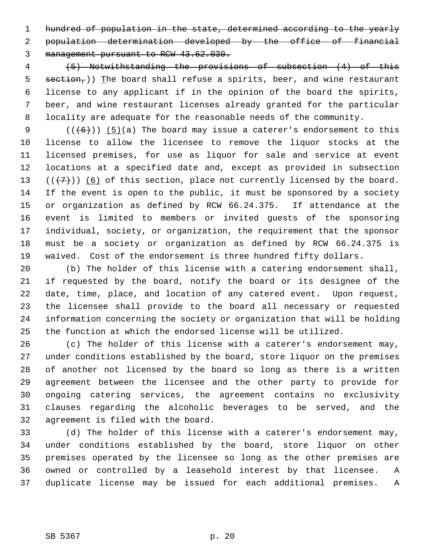1 hundred of population in the state, determined according to the yearly

 2 population determination developed by the office of financial 3 management pursuant to RCW 43.62.030.

 4 (5) Notwithstanding the provisions of subsection (4) of this 5 section,  $\binom{n}{k}$  The board shall refuse a spirits, beer, and wine restaurant 6 license to any applicant if in the opinion of the board the spirits, 7 beer, and wine restaurant licenses already granted for the particular 8 locality are adequate for the reasonable needs of the community.

9  $((+6))$  (5)(a) The board may issue a caterer's endorsement to this 10 license to allow the licensee to remove the liquor stocks at the 11 licensed premises, for use as liquor for sale and service at event 12 locations at a specified date and, except as provided in subsection 13  $((+7))$  (6) of this section, place not currently licensed by the board. 14 If the event is open to the public, it must be sponsored by a society 15 or organization as defined by RCW 66.24.375. If attendance at the 16 event is limited to members or invited guests of the sponsoring 17 individual, society, or organization, the requirement that the sponsor 18 must be a society or organization as defined by RCW 66.24.375 is 19 waived. Cost of the endorsement is three hundred fifty dollars.

20 (b) The holder of this license with a catering endorsement shall, 21 if requested by the board, notify the board or its designee of the 22 date, time, place, and location of any catered event. Upon request, 23 the licensee shall provide to the board all necessary or requested 24 information concerning the society or organization that will be holding 25 the function at which the endorsed license will be utilized.

26 (c) The holder of this license with a caterer's endorsement may, 27 under conditions established by the board, store liquor on the premises 28 of another not licensed by the board so long as there is a written 29 agreement between the licensee and the other party to provide for 30 ongoing catering services, the agreement contains no exclusivity 31 clauses regarding the alcoholic beverages to be served, and the 32 agreement is filed with the board.

33 (d) The holder of this license with a caterer's endorsement may, 34 under conditions established by the board, store liquor on other 35 premises operated by the licensee so long as the other premises are 36 owned or controlled by a leasehold interest by that licensee. A 37 duplicate license may be issued for each additional premises. A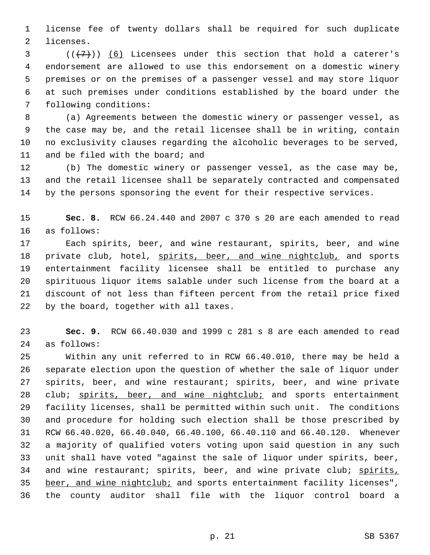1 license fee of twenty dollars shall be required for such duplicate 2 licenses.

 $3$  ( $(\overline{+7})$ ) (6) Licensees under this section that hold a caterer's 4 endorsement are allowed to use this endorsement on a domestic winery 5 premises or on the premises of a passenger vessel and may store liquor 6 at such premises under conditions established by the board under the 7 following conditions:

 8 (a) Agreements between the domestic winery or passenger vessel, as 9 the case may be, and the retail licensee shall be in writing, contain 10 no exclusivity clauses regarding the alcoholic beverages to be served, 11 and be filed with the board; and

12 (b) The domestic winery or passenger vessel, as the case may be, 13 and the retail licensee shall be separately contracted and compensated 14 by the persons sponsoring the event for their respective services.

15 **Sec. 8.** RCW 66.24.440 and 2007 c 370 s 20 are each amended to read 16 as follows:

17 Each spirits, beer, and wine restaurant, spirits, beer, and wine 18 private club, hotel, spirits, beer, and wine nightclub, and sports 19 entertainment facility licensee shall be entitled to purchase any 20 spirituous liquor items salable under such license from the board at a 21 discount of not less than fifteen percent from the retail price fixed 22 by the board, together with all taxes.

23 **Sec. 9.** RCW 66.40.030 and 1999 c 281 s 8 are each amended to read 24 as follows:

25 Within any unit referred to in RCW 66.40.010, there may be held a 26 separate election upon the question of whether the sale of liquor under 27 spirits, beer, and wine restaurant; spirits, beer, and wine private 28 club; spirits, beer, and wine nightclub; and sports entertainment 29 facility licenses, shall be permitted within such unit. The conditions 30 and procedure for holding such election shall be those prescribed by 31 RCW 66.40.020, 66.40.040, 66.40.100, 66.40.110 and 66.40.120. Whenever 32 a majority of qualified voters voting upon said question in any such 33 unit shall have voted "against the sale of liquor under spirits, beer, 34 and wine restaurant; spirits, beer, and wine private club; spirits, 35 beer, and wine nightclub; and sports entertainment facility licenses", 36 the county auditor shall file with the liquor control board a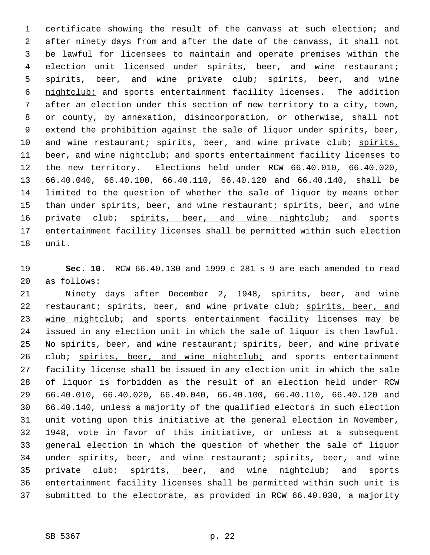1 certificate showing the result of the canvass at such election; and 2 after ninety days from and after the date of the canvass, it shall not 3 be lawful for licensees to maintain and operate premises within the 4 election unit licensed under spirits, beer, and wine restaurant; 5 spirits, beer, and wine private club; spirits, beer, and wine 6 nightclub; and sports entertainment facility licenses. The addition 7 after an election under this section of new territory to a city, town, 8 or county, by annexation, disincorporation, or otherwise, shall not 9 extend the prohibition against the sale of liquor under spirits, beer, 10 and wine restaurant; spirits, beer, and wine private club; spirits, 11 beer, and wine nightclub; and sports entertainment facility licenses to 12 the new territory. Elections held under RCW 66.40.010, 66.40.020, 13 66.40.040, 66.40.100, 66.40.110, 66.40.120 and 66.40.140, shall be 14 limited to the question of whether the sale of liquor by means other 15 than under spirits, beer, and wine restaurant; spirits, beer, and wine 16 private club; spirits, beer, and wine nightclub; and sports 17 entertainment facility licenses shall be permitted within such election 18 unit.

19 **Sec. 10.** RCW 66.40.130 and 1999 c 281 s 9 are each amended to read 20 as follows:

21 Ninety days after December 2, 1948, spirits, beer, and wine 22 restaurant; spirits, beer, and wine private club; spirits, beer, and 23 wine nightclub; and sports entertainment facility licenses may be 24 issued in any election unit in which the sale of liquor is then lawful. 25 No spirits, beer, and wine restaurant; spirits, beer, and wine private 26 club; spirits, beer, and wine nightclub; and sports entertainment 27 facility license shall be issued in any election unit in which the sale 28 of liquor is forbidden as the result of an election held under RCW 29 66.40.010, 66.40.020, 66.40.040, 66.40.100, 66.40.110, 66.40.120 and 30 66.40.140, unless a majority of the qualified electors in such election 31 unit voting upon this initiative at the general election in November, 32 1948, vote in favor of this initiative, or unless at a subsequent 33 general election in which the question of whether the sale of liquor 34 under spirits, beer, and wine restaurant; spirits, beer, and wine 35 private club; spirits, beer, and wine nightclub; and sports 36 entertainment facility licenses shall be permitted within such unit is 37 submitted to the electorate, as provided in RCW 66.40.030, a majority